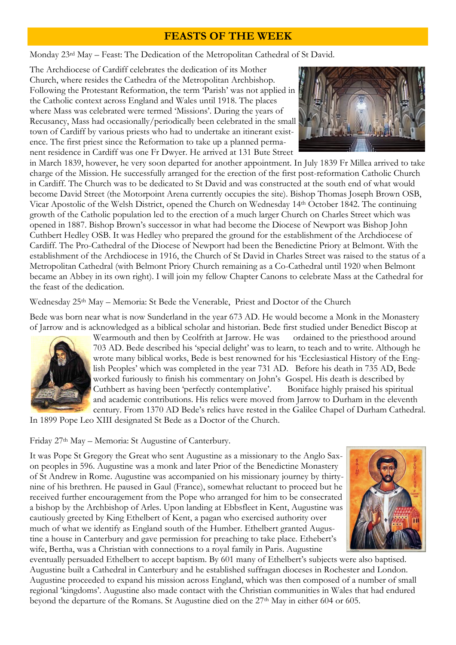# **FEASTS OF THE WEEK**

Monday 23rd May – Feast: The Dedication of the Metropolitan Cathedral of St David.

The Archdiocese of Cardiff celebrates the dedication of its Mother Church, where resides the Cathedra of the Metropolitan Archbishop. Following the Protestant Reformation, the term 'Parish' was not applied in the Catholic context across England and Wales until 1918. The places where Mass was celebrated were termed 'Missions'. During the years of Recusancy, Mass had occasionally/periodically been celebrated in the small town of Cardiff by various priests who had to undertake an itinerant existence. The first priest since the Reformation to take up a planned permanent residence in Cardiff was one Fr Dwyer. He arrived at 131 Bute Street



in March 1839, however, he very soon departed for another appointment. In July 1839 Fr Millea arrived to take charge of the Mission. He successfully arranged for the erection of the first post-reformation Catholic Church in Cardiff. The Church was to be dedicated to St David and was constructed at the south end of what would become David Street (the Motorpoint Arena currently occupies the site). Bishop Thomas Joseph Brown OSB, Vicar Apostolic of the Welsh District, opened the Church on Wednesday 14th October 1842. The continuing growth of the Catholic population led to the erection of a much larger Church on Charles Street which was opened in 1887. Bishop Brown's successor in what had become the Diocese of Newport was Bishop John Cuthbert Hedley OSB. It was Hedley who prepared the ground for the establishment of the Archdiocese of Cardiff. The Pro-Cathedral of the Diocese of Newport had been the Benedictine Priory at Belmont. With the establishment of the Archdiocese in 1916, the Church of St David in Charles Street was raised to the status of a Metropolitan Cathedral (with Belmont Priory Church remaining as a Co-Cathedral until 1920 when Belmont became an Abbey in its own right). I will join my fellow Chapter Canons to celebrate Mass at the Cathedral for the feast of the dedication.

Wednesday 25<sup>th</sup> May – Memoria: St Bede the Venerable, Priest and Doctor of the Church

Bede was born near what is now Sunderland in the year 673 AD. He would become a Monk in the Monastery of Jarrow and is acknowledged as a biblical scholar and historian. Bede first studied under Benedict Biscop at



Wearmouth and then by Ceolfrith at Jarrow. He was ordained to the priesthood around 703 AD. Bede described his 'special delight' was to learn, to teach and to write. Although he wrote many biblical works, Bede is best renowned for his 'Ecclesiastical History of the English Peoples' which was completed in the year 731 AD. Before his death in 735 AD, Bede worked furiously to finish his commentary on John's Gospel. His death is described by Cuthbert as having been 'perfectly contemplative'. Boniface highly praised his spiritual and academic contributions. His relics were moved from Jarrow to Durham in the eleventh century. From 1370 AD Bede's relics have rested in the Galilee Chapel of Durham Cathedral.

In 1899 Pope Leo XIII designated St Bede as a Doctor of the Church.

Friday 27th May – Memoria: St Augustine of Canterbury.

It was Pope St Gregory the Great who sent Augustine as a missionary to the Anglo Saxon peoples in 596. Augustine was a monk and later Prior of the Benedictine Monastery of St Andrew in Rome. Augustine was accompanied on his missionary journey by thirtynine of his brethren. He paused in Gaul (France), somewhat reluctant to proceed but he received further encouragement from the Pope who arranged for him to be consecrated a bishop by the Archbishop of Arles. Upon landing at Ebbsfleet in Kent, Augustine was cautiously greeted by King Ethelbert of Kent, a pagan who exercised authority over much of what we identify as England south of the Humber. Ethelbert granted Augustine a house in Canterbury and gave permission for preaching to take place. Ethebert's wife, Bertha, was a Christian with connections to a royal family in Paris. Augustine



eventually persuaded Ethelbert to accept baptism. By 601 many of Ethelbert's subjects were also baptised. Augustine built a Cathedral in Canterbury and he established suffragan dioceses in Rochester and London. Augustine proceeded to expand his mission across England, which was then composed of a number of small regional 'kingdoms'. Augustine also made contact with the Christian communities in Wales that had endured beyond the departure of the Romans. St Augustine died on the 27<sup>th</sup> May in either 604 or 605.